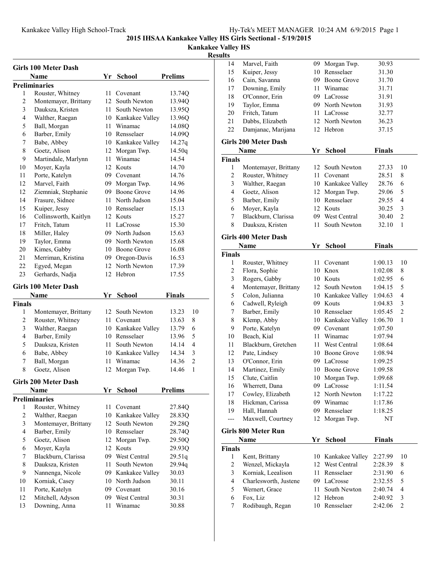**Kankakee Valley HS**

#### **Results**

|                | <b>Girls 100 Meter Dash</b>       |      |                            |                         |
|----------------|-----------------------------------|------|----------------------------|-------------------------|
|                | Name                              | Yr   | <b>School</b>              | <b>Prelims</b>          |
|                | <b>Preliminaries</b>              |      |                            |                         |
| 1              | Rouster, Whitney                  | 11 - | Covenant                   | 13.74Q                  |
| $\overline{2}$ | Montemayer, Brittany              | 12   | South Newton               | 13.94Q                  |
| 3              | Dauksza, Kristen                  | 11 - | South Newton               | 13.95Q                  |
| 4              | Walther, Raegan                   |      | 10 Kankakee Valley         | 13.96Q                  |
| 5              | Ball, Morgan                      |      | 11 Winamac                 | 14.08Q                  |
| 6              | Barber, Emily                     |      | 10 Rensselaer              | 14.09Q                  |
| 7              | Babe, Abbey                       |      | 10 Kankakee Valley         | 14.27q                  |
| 8              | Goetz, Alison                     |      | 12 Morgan Twp.             | 14.50q                  |
| 9              | Martindale, Marlynn               | 11 - | Winamac                    | 14.54                   |
| 10             | Moyer, Kayla                      |      | 12 Kouts                   | 14.70                   |
| 11             | Porte, Katelyn                    |      | 09 Covenant                | 14.76                   |
| 12             | Marvel, Faith                     |      | 09 Morgan Twp.             | 14.96                   |
| 12             | Ziemniak, Stephanie               |      | 09 Boone Grove             | 14.96                   |
| 14             | Frasure, Sidnee                   |      | 11 North Judson            | 15.04                   |
| 15             | Kuiper, Jessy                     |      | 10 Rensselaer              | 15.13                   |
| 16             | Collinsworth, Kaitlyn             |      | 12 Kouts                   | 15.27                   |
| 17             | Fritch, Tatum                     |      | 11 LaCrosse                | 15.30                   |
| 18             | Miller, Haley                     |      | 09 North Judson            | 15.63                   |
| 19             | Taylor, Emma                      |      | 09 North Newton            | 15.68                   |
| 20             | Kimes, Gabby                      |      | 10 Boone Grove             | 16.08                   |
| 21             | Merriman, Kristina                |      | 09 Oregon-Davis            | 16.53                   |
| 22             | Egyed, Megan                      |      | 12 North Newton            | 17.39                   |
| 23             | Gerhards, Nadja                   |      | 12 Hebron                  | 17.55                   |
|                |                                   |      |                            |                         |
|                | <b>Girls 100 Meter Dash</b>       |      |                            |                         |
|                | Name                              | Yr   | School                     | Finals                  |
|                |                                   |      |                            |                         |
| <b>Finals</b>  |                                   |      |                            |                         |
| 1              | Montemayer, Brittany              | 12   | South Newton               | 10<br>13.23             |
| 2              | Rouster, Whitney                  | 11 - | Covenant                   | 13.63<br>8              |
| 3              | Walther, Raegan                   |      | 10 Kankakee Valley         | 6<br>13.79              |
| 4              | Barber, Emily                     |      | 10 Rensselaer              | 5<br>13.96              |
| 5              | Dauksza, Kristen                  | 11 - | South Newton               | 4<br>14.14              |
| 6              | Babe, Abbey                       |      | 10 Kankakee Valley         | 3<br>14.34              |
| 7              | Ball, Morgan                      | 11.  | Winamac                    | $\overline{c}$<br>14.36 |
| 8              | Goetz, Alison                     | 12   | Morgan Twp.                | 14.46<br>1              |
|                |                                   |      |                            |                         |
|                | <b>Girls 200 Meter Dash</b>       |      |                            |                         |
|                | Name                              | Yr   | <b>School</b>              | <b>Prelims</b>          |
|                | <b>Preliminaries</b>              |      |                            |                         |
| 1              | Rouster, Whitney                  | 11   | Covenant                   | 27.84Q                  |
| $\overline{c}$ | Walther, Raegan                   |      | 10 Kankakee Valley         | 28.83Q                  |
| 3              | Montemayer, Brittany              | 12   | South Newton               | 29.28Q                  |
| $\overline{4}$ | Barber, Emily                     |      | 10 Rensselaer              | 28.74Q                  |
| 5              | Goetz, Alison                     | 12   | Morgan Twp.                | 29.50Q                  |
| 6              | Moyer, Kayla                      | 12   | Kouts                      | 29.93Q                  |
| 7              | Blackburn, Clarissa               |      | 09 West Central            | 29.51q                  |
| 8              | Dauksza, Kristen                  | 11   | South Newton               | 29.94q                  |
| 9              | Nannenga, Nicole                  | 09   | Kankakee Valley            | 30.03                   |
| 10             | Korniak, Casey                    |      | 10 North Judson            | 30.11                   |
| 11             | Porte, Katelyn                    | 09   | Covenant                   | 30.16                   |
| 12<br>13       | Mitchell, Adyson<br>Downing, Anna | 11   | 09 West Central<br>Winamac | 30.31<br>30.88          |

| ,u1t5                    |                               |      |                                   |                    |                |
|--------------------------|-------------------------------|------|-----------------------------------|--------------------|----------------|
| 14                       | Marvel, Faith                 | 09   | Morgan Twp.                       | 30.93              |                |
| 15                       | Kuiper, Jessy                 | 10   | Rensselaer                        | 31.30              |                |
| 16                       | Cain, Savanna                 |      | 09 Boone Grove                    | 31.70              |                |
| 17                       | Downing, Emily                | 11   | Winamac                           | 31.71              |                |
| 18                       | O'Connor, Erin                |      | 09 LaCrosse                       | 31.91              |                |
| 19                       | Taylor, Emma                  |      | 09 North Newton                   | 31.93              |                |
| 20                       | Fritch, Tatum                 |      | 11 LaCrosse                       | 32.77              |                |
| 21                       | Dabbs, Elizabeth              | 12   | North Newton                      | 36.23              |                |
| 22                       | Damjanac, Marijana            |      | 12 Hebron                         | 37.15              |                |
|                          | <b>Girls 200 Meter Dash</b>   |      |                                   |                    |                |
|                          | Name                          | Yr   | <b>School</b>                     | Finals             |                |
| <b>Finals</b>            |                               |      |                                   |                    |                |
| 1                        | Montemayer, Brittany          | 12   | South Newton                      | 27.33              | 10             |
| $\overline{c}$           | Rouster, Whitney              | 11   | Covenant                          | 28.51              | 8              |
| 3                        | Walther, Raegan               |      | 10 Kankakee Valley                | 28.76              | 6              |
| 4                        | Goetz, Alison                 |      | 12 Morgan Twp.                    | 29.06              | 5              |
| 5                        | Barber, Emily                 |      | 10 Rensselaer                     | 29.55              | 4              |
| 6                        | Moyer, Kayla                  | 12   | Kouts                             | 30.25              | 3              |
| $\tau$                   | Blackburn, Clarissa           |      | 09 West Central                   | 30.40              | $\overline{c}$ |
| 8                        | Dauksza, Kristen              | 11   | South Newton                      | 32.10              | 1              |
|                          |                               |      |                                   |                    |                |
|                          | <b>Girls 400 Meter Dash</b>   |      |                                   |                    |                |
|                          | Name                          | Yr   | <b>School</b>                     | <b>Finals</b>      |                |
| <b>Finals</b>            |                               |      |                                   |                    |                |
| 1                        | Rouster, Whitney              | 11 - | Covenant                          | 1:00.13            | 10             |
| $\overline{c}$           | Flora, Sophie                 |      | 10 Knox                           | 1:02.08            | 8              |
| $\mathfrak{Z}$           | Rogers, Gabby                 |      | 10 Kouts                          | 1:02.95            | 6              |
| $\overline{\mathcal{L}}$ | Montemayer, Brittany          |      | 12 South Newton                   | 1:04.15            | 5              |
| 5                        | Colon, Julianna               |      | 10 Kankakee Valley                | 1:04.63            | 4              |
| 6                        | Cadwell, Ryleigh              |      | 09 Kouts                          | 1:04.83            | 3              |
| 7                        | Barber, Emily                 |      | 10 Rensselaer                     | 1:05.45            | $\overline{c}$ |
| 8<br>9                   | Klemp, Abby                   |      | 10 Kankakee Valley<br>09 Covenant | 1:06.70            | 1              |
| 10                       | Porte, Katelyn<br>Beach, Kial |      | 11 Winamac                        | 1:07.50<br>1:07.94 |                |
| 11                       | Blackburn, Gretchen           | 11   | West Central                      | 1:08.64            |                |
| 12                       | Pate, Lindsey                 |      | 10 Boone Grove                    | 1:08.94            |                |
| 13                       | O'Connor, Erin                |      | 09 LaCrosse                       | 1:09.25            |                |
| 14                       | Martinez, Emily               |      | 10 Boone Grove                    | 1:09.58            |                |
| 15                       | Clute, Caitlin                |      | 10 Morgan Twp.                    | 1:09.68            |                |
| 16                       | Wherrett, Dana                |      | 09 LaCrosse                       | 1:11.54            |                |
| 17                       | Cowley, Elizabeth             | 12   | North Newton                      | 1:17.22            |                |
| 18                       | Hickman, Carissa              |      | 09 Winamac                        | 1:17.86            |                |
| 19                       | Hall, Hannah                  |      | 09 Rensselaer                     | 1:18.25            |                |
| $---$                    | Maxwell, Courtney             | 12   | Morgan Twp.                       | NT                 |                |
|                          |                               |      |                                   |                    |                |
|                          | <b>Girls 800 Meter Run</b>    |      |                                   |                    |                |
|                          | Name                          | Yr   | <b>School</b>                     | <b>Finals</b>      |                |
| <b>Finals</b>            |                               |      |                                   |                    |                |
| 1                        | Kent, Brittany                |      | 10 Kankakee Valley                | 2:27.99            | 10             |
| 2                        | Wenzel, Mickayla              |      | 12 West Central                   | 2:28.39            | 8              |
| 3                        | Korniak, Leealison            | 11   | Rensselaer                        | 2:31.90            | 6              |
| 4                        | Charlesworth, Justene         |      | 09 LaCrosse                       | 2:32.55            | 5              |
| 5                        | Wernert, Grace                | 11   | South Newton                      | 2:40.74            | $\overline{4}$ |
| 6                        | Fox, Liz                      |      | 12 Hebron                         | 2:40.92            | $\mathfrak{Z}$ |
| 7                        | Rodibaugh, Regan              | 10   | Rensselaer                        | 2:42.06            | $\overline{2}$ |
|                          |                               |      |                                   |                    |                |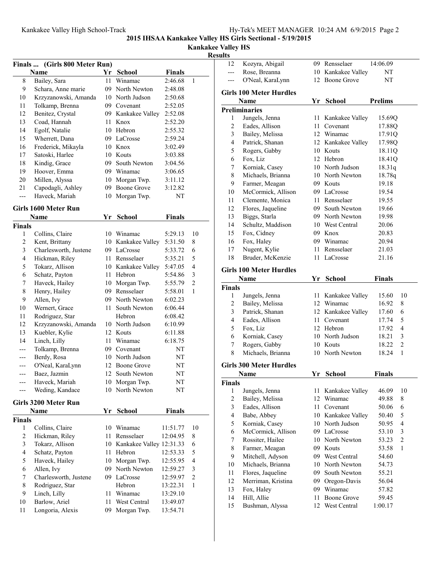**Kankakee Valley HS**

# **Results**

| Finals  (Girls 800 Meter Run) |                                      |    |                                |               |              |  |  |
|-------------------------------|--------------------------------------|----|--------------------------------|---------------|--------------|--|--|
|                               | Name                                 | Yr | <b>School</b>                  | <b>Finals</b> |              |  |  |
| 8                             | Bailey, Sara                         | 11 | Winamac                        | 2:46.68       | $\mathbf{1}$ |  |  |
| 9                             | Schara, Anne marie                   |    | 09 North Newton                | 2:48.08       |              |  |  |
| 10                            | Krzyzanowski, Amanda                 | 10 | North Judson                   | 2:50.68       |              |  |  |
| 11                            | Tolkamp, Brenna                      |    | 09 Covenant                    | 2:52.05       |              |  |  |
| 12                            | Benitez, Crystal                     | 09 | Kankakee Valley                | 2:52.08       |              |  |  |
| 13                            | Coad, Hannah                         | 11 | Knox                           | 2:52.20       |              |  |  |
| 14                            | Egolf, Natalie                       | 10 | Hebron                         | 2:55.32       |              |  |  |
| 15                            | Wherrett, Dana                       | 09 | LaCrosse                       | 2:59.24       |              |  |  |
| 16                            | Frederick, Mikayla                   | 10 | Knox                           | 3:02.49       |              |  |  |
| 17                            | Satoski, Harlee                      | 10 | Kouts                          | 3:03.88       |              |  |  |
| 18                            | Kindig, Grace                        | 09 | South Newton                   | 3:04.56       |              |  |  |
| 19                            | Hoover, Emma                         |    | 09 Winamac                     | 3:06.65       |              |  |  |
| 20                            | Millen, Alyssa                       | 10 | Morgan Twp.                    | 3:11.12       |              |  |  |
| 21                            | Capodagli, Ashley                    | 09 | <b>Boone Grove</b>             | 3:12.82       |              |  |  |
| $---$                         | Haveck, Mariah                       | 10 | Morgan Twp.                    | NT            |              |  |  |
|                               | Girls 1600 Meter Run                 |    |                                |               |              |  |  |
|                               | Name                                 | Yr | <b>School</b>                  | <b>Finals</b> |              |  |  |
| Finals                        |                                      |    |                                |               |              |  |  |
| 1                             | Collins, Claire                      | 10 | Winamac                        | 5:29.13       | 10           |  |  |
| 2                             | Kent, Brittany                       |    | 10 Kankakee Valley             | 5:31.50       | 8            |  |  |
| 3                             | Charlesworth, Justene                |    | 09 LaCrosse                    | 5:33.72       | 6            |  |  |
| 4                             | Hickman, Riley                       |    | 11 Rensselaer                  | 5:35.21       | 5            |  |  |
| 5                             | Tokarz, Allison                      |    | 10 Kankakee Valley             | 5:47.05       | 4            |  |  |
| 6                             | Schatz, Payton                       | 11 | Hebron                         | 5:54.86       | 3            |  |  |
| $\mathbf{r}$                  | $II_1, \ldots, I_n$ $II_n, II_{n+1}$ |    | $10 \, M$ and $T_{\text{max}}$ | F.F.F. 70     | $\sim$       |  |  |

| 5   | Tokarz, Allison      | 10  | Kankakee Valley | 5:47.05 | $\overline{4}$ |
|-----|----------------------|-----|-----------------|---------|----------------|
| 6   | Schatz, Payton       | 11  | Hebron          | 5:54.86 | 3              |
| 7   | Haveck, Hailey       | 10  | Morgan Twp.     | 5:55.79 | $\overline{2}$ |
| 8   | Henry, Hailey        | 09  | Rensselaer      | 5:58.01 | 1              |
| 9   | Allen, Ivy           | 09. | North Newton    | 6:02.23 |                |
| 10  | Wernert, Grace       | 11  | South Newton    | 6:06.44 |                |
| 11  | Rodriguez, Star      |     | Hebron          | 6:08.42 |                |
| 12  | Krzyzanowski, Amanda |     | 10 North Judson | 6:10.99 |                |
| 13  | Kuebler, Kylie       | 12  | Kouts           | 6:11.88 |                |
| 14  | Linch, Lilly         | 11  | Winamac         | 6:18.75 |                |
| --- | Tolkamp, Brenna      | 09. | Covenant        | NT      |                |
| --- | Berdy, Rosa          | 10  | North Judson    | NT      |                |
| --- | O'Neal, KaraLynn     |     | 12 Boone Grove  | NT      |                |
| --- | Baez, Jazmin         |     | 12 South Newton | NT      |                |
| --- | Haveck, Mariah       | 10  | Morgan Twp.     | NT      |                |
|     | Weding, Kandace      |     | 10 North Newton | NT      |                |

# **Girls 3200 Meter Run**

|               | Name                  | Yr | <b>School</b>               | <b>Finals</b> |                |
|---------------|-----------------------|----|-----------------------------|---------------|----------------|
| <b>Finals</b> |                       |    |                             |               |                |
| 1             | Collins, Claire       | 10 | Winamac                     | 11:51.77      | 10             |
| 2             | Hickman, Riley        | 11 | Rensselaer                  | 12:04.95      | 8              |
| 3             | Tokarz, Allison       |    | 10 Kankakee Valley 12:31.33 |               | 6              |
| 4             | Schatz, Payton        | 11 | Hebron                      | 12:53.33      | 5              |
| 5             | Haveck, Hailey        |    | 10 Morgan Twp.              | 12:55.95      | 4              |
| 6             | Allen, Ivy            | 09 | North Newton                | 12:59.27      | 3              |
| 7             | Charlesworth, Justene | 09 | LaCrosse                    | 12:59.97      | $\overline{2}$ |
| 8             | Rodriguez, Star       |    | Hebron                      | 13:22.31      | 1              |
| 9             | Linch, Lilly          | 11 | Winamac                     | 13:29.10      |                |
| 10            | Barlow, Ariel         | 11 | West Central                | 13:49.07      |                |
| 11            | Longoria, Alexis      | 09 | Morgan Twp.                 | 13:54.71      |                |

| 12                      | Kozyra, Abigail                |      | 09 Rensselaer      | 14:06.09                |
|-------------------------|--------------------------------|------|--------------------|-------------------------|
| ---                     | Rose, Breanna                  |      | 10 Kankakee Valley | NΤ                      |
|                         | O'Neal, KaraLynn               |      | 12 Boone Grove     | NT                      |
|                         |                                |      |                    |                         |
|                         | <b>Girls 100 Meter Hurdles</b> |      |                    |                         |
|                         | Name                           | Yr   | <b>School</b>      | <b>Prelims</b>          |
|                         | <b>Preliminaries</b>           |      |                    |                         |
| 1                       | Jungels, Jenna                 | 11   | Kankakee Valley    | 15.69Q                  |
| $\overline{c}$          | Eades, Allison                 | 11   | Covenant           | 17.88Q                  |
| 3                       | Bailey, Melissa                |      | 12 Winamac         | 17.91Q                  |
| 4                       | Patrick, Shanan                |      | 12 Kankakee Valley | 17.98Q                  |
| 5                       | Rogers, Gabby                  |      | 10 Kouts           | 18.11Q                  |
| 6                       | Fox, Liz                       |      | 12 Hebron          | 18.41Q                  |
| 7                       | Korniak, Casey                 |      | 10 North Judson    | 18.31q                  |
| 8                       | Michaels, Brianna              |      | 10 North Newton    | 18.78q                  |
| 9                       | Farmer, Meagan                 |      | 09 Kouts           | 19.18                   |
| 10                      | McCormick, Allison             |      | 09 LaCrosse        | 19.54                   |
| 11                      | Clemente, Monica               |      | 11 Rensselaer      | 19.55                   |
| 12                      | Flores, Jaqueline              |      | 09 South Newton    | 19.66                   |
| 13                      | Biggs, Starla                  |      | 09 North Newton    | 19.98                   |
| 14                      | Schultz, Maddison              |      | 10 West Central    | 20.06                   |
| 15                      | Fox, Cidney                    |      | 09 Knox            | 20.83                   |
| 16                      | Fox, Haley                     |      | 09 Winamac         | 20.94                   |
| 17                      | Nugent, Kylie                  |      | 11 Rensselaer      | 21.03                   |
| 18                      | Bruder, McKenzie               | 11 - | LaCrosse           | 21.16                   |
|                         | <b>Girls 100 Meter Hurdles</b> |      |                    |                         |
|                         | Name                           |      | Yr School          | Finals                  |
| <b>Finals</b>           |                                |      |                    |                         |
| 1                       | Jungels, Jenna                 |      | 11 Kankakee Valley | 15.60<br>10             |
| $\mathbf{2}$            | Bailey, Melissa                |      | 12 Winamac         | 16.92<br>8              |
| 3                       | Patrick, Shanan                |      | 12 Kankakee Valley | 17.60<br>6              |
| $\overline{4}$          | Eades, Allison                 |      | 11 Covenant        | 17.74<br>5              |
| 5                       | Fox, Liz                       |      | 12 Hebron          | $\overline{4}$<br>17.92 |
| 6                       | Korniak, Casey                 |      | 10 North Judson    | 3<br>18.21              |
| 7                       | Rogers, Gabby                  |      | 10 Kouts           | $\overline{c}$<br>18.22 |
| 8                       | Michaels, Brianna              |      | 10 North Newton    | 18.24<br>1              |
|                         |                                |      |                    |                         |
|                         | <b>Girls 300 Meter Hurdles</b> |      |                    |                         |
|                         | Name                           |      | Yr School          | <b>Finals</b>           |
| <b>Finals</b>           |                                |      |                    |                         |
| 1                       | Jungels, Jenna                 | 11   | Kankakee Valley    | 46.09<br>10             |
| $\overline{c}$          | Bailey, Melissa                |      | 12 Winamac         | 49.88<br>8              |
| $\overline{\mathbf{3}}$ | Eades, Allison                 | 11   | Covenant           | 50.06<br>6              |
| $\overline{4}$          | Babe, Abbey                    |      | 10 Kankakee Valley | 5<br>50.40              |
| 5                       | Korniak, Casey                 |      | 10 North Judson    | $\overline{4}$<br>50.95 |
| 6                       | McCormick, Allison             |      | 09 LaCrosse        | 3<br>53.10              |
| 7                       | Rossiter, Hailee               |      | 10 North Newton    | $\overline{c}$<br>53.23 |
| 8                       | Farmer, Meagan                 |      | 09 Kouts           | 1<br>53.58              |
| 9                       | Mitchell, Adyson               |      | 09 West Central    | 54.60                   |
| 10                      | Michaels, Brianna              |      | 10 North Newton    | 54.73                   |
| 11                      | Flores, Jaqueline              | 09   | South Newton       | 55.21                   |
| 12                      | Merriman, Kristina             | 09   | Oregon-Davis       | 56.04                   |
| 13                      | Fox, Haley                     | 09 - | Winamac            | 57.82                   |
| 14                      | Hill, Allie                    | 11   | <b>Boone Grove</b> | 59.45                   |
| 15                      | Bushman, Alyssa                | 12   | West Central       | 1:00.17                 |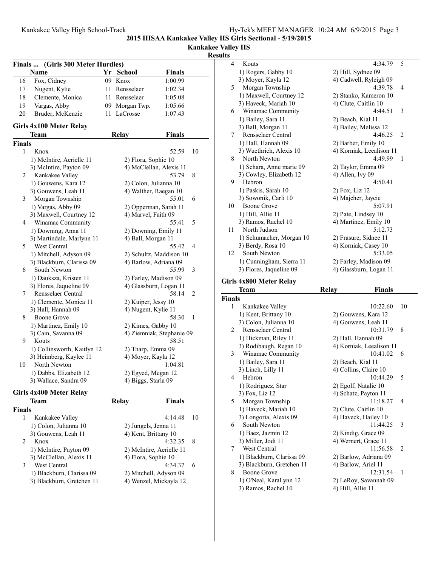**Kankakee Valley HS**

## **Results**

|               | Finals  (Girls 300 Meter Hurdles) |      |                          |                           |    |
|---------------|-----------------------------------|------|--------------------------|---------------------------|----|
|               | Name                              |      | Yr School                | Finals                    |    |
| 16            | Fox, Cidney                       | 09   | Knox                     | 1:00.99                   |    |
| 17            | Nugent, Kylie                     | 11   | Rensselaer               | 1:02.34                   |    |
| 18            | Clemente, Monica                  | 11 - | Rensselaer               | 1:05.08                   |    |
| 19            | Vargas, Abby                      |      | 09 Morgan Twp.           | 1:05.66                   |    |
| 20            | Bruder, McKenzie                  | 11   | LaCrosse                 | 1:07.43                   |    |
|               | Girls 4x100 Meter Relay           |      |                          |                           |    |
|               | Team                              |      | <b>Relay</b>             | <b>Finals</b>             |    |
| <b>Finals</b> |                                   |      |                          |                           |    |
| 1             | Knox                              |      |                          | 52.59                     | 10 |
|               | 1) McIntire, Aerielle 11          |      | 2) Flora, Sophie 10      |                           |    |
|               | 3) McIntire, Payton 09            |      | 4) McClellan, Alexis 11  |                           |    |
| 2             | Kankakee Valley                   |      |                          | 53.79                     | 8  |
|               | 1) Gouwens, Kara 12               |      | 2) Colon, Julianna 10    |                           |    |
|               | 3) Gouwens, Leah 11               |      | 4) Walther, Raegan 10    |                           |    |
| 3             | Morgan Township                   |      |                          | 55.01                     | 6  |
|               | 1) Vargas, Abby 09                |      | 2) Opperman, Sarah 11    |                           |    |
|               | 3) Maxwell, Courtney 12           |      | 4) Marvel, Faith 09      |                           |    |
| 4             | Winamac Community                 |      |                          | 55.41                     | 5  |
|               | 1) Downing, Anna 11               |      | 2) Downing, Emily 11     |                           |    |
|               | 3) Martindale, Marlynn 11         |      | 4) Ball, Morgan 11       |                           |    |
| 5             | West Central                      |      |                          | 55.42                     | 4  |
|               | 1) Mitchell, Adyson 09            |      |                          | 2) Schultz, Maddison 10   |    |
|               | 3) Blackburn, Clarissa 09         |      | 4) Barlow, Adriana 09    |                           |    |
| 6             | South Newton                      |      |                          | 55.99                     | 3  |
|               | 1) Dauksza, Kristen 11            |      | 2) Farley, Madison 09    |                           |    |
|               | 3) Flores, Jaqueline 09           |      | 4) Glassburn, Logan 11   |                           |    |
| 7             | Rensselaer Central                |      |                          | 58.14                     | 2  |
|               | 1) Clemente, Monica 11            |      | 2) Kuiper, Jessy 10      |                           |    |
|               | 3) Hall, Hannah 09                |      | 4) Nugent, Kylie 11      |                           |    |
| 8             | <b>Boone Grove</b>                |      |                          | 58.30                     | 1  |
|               | 1) Martinez, Emily 10             |      | 2) Kimes, Gabby 10       |                           |    |
|               | 3) Cain, Savanna 09               |      |                          | 4) Ziemniak, Stephanie 09 |    |
| 9             | Kouts                             |      |                          | 58.51                     |    |
|               | 1) Collinsworth, Kaitlyn 12       |      | 2) Tharp, Emma 09        |                           |    |
|               | 3) Heimberg, Kaylee 11            |      | 4) Moyer, Kayla 12       |                           |    |
| 10            | North Newton                      |      |                          | 1:04.81                   |    |
|               | 1) Dabbs, Elizabeth 12            |      | 2) Egyed, Megan 12       |                           |    |
|               | 3) Wallace, Sandra 09             |      | 4) Biggs, Starla 09      |                           |    |
|               | Girls 4x400 Meter Relay           |      |                          |                           |    |
|               | Team                              |      | <b>Relay</b>             | Finals                    |    |
| <b>Finals</b> |                                   |      |                          |                           |    |
| 1             | Kankakee Valley                   |      |                          | 4:14.48                   | 10 |
|               | 1) Colon, Julianna 10             |      | 2) Jungels, Jenna 11     |                           |    |
|               | 3) Gouwens, Leah 11               |      | 4) Kent, Brittany 10     |                           |    |
| 2             | Knox                              |      |                          | 4:32.35                   | 8  |
|               | 1) McIntire, Payton 09            |      | 2) McIntire, Aerielle 11 |                           |    |
|               | 3) McClellan, Alexis 11           |      | 4) Flora, Sophie 10      |                           |    |
| 3             | West Central                      |      |                          | 4:34.37                   | 6  |

3 West Central 4:34.37<br>1) Blackburn, Clarissa 09 2) Mitchell, Adyson 09 1) Blackburn, Clarissa 09 2) Mitchell, Adyson 09<br>3) Blackburn, Gretchen 11 4) Wenzel, Mickayla 12

3) Blackburn, Gretchen 11

| ılts           |                                |                          |         |                |
|----------------|--------------------------------|--------------------------|---------|----------------|
| $\overline{4}$ | Kouts                          |                          | 4:34.79 | 5              |
|                | 1) Rogers, Gabby 10            | 2) Hill, Sydnee 09       |         |                |
|                | 3) Moyer, Kayla 12             | 4) Cadwell, Ryleigh 09   |         |                |
| 5              | Morgan Township                |                          | 4:39.78 | 4              |
|                | 1) Maxwell, Courtney 12        | 2) Stanko, Kameron 10    |         |                |
|                | 3) Haveck, Mariah 10           | 4) Clute, Caitlin 10     |         |                |
| 6              | Winamac Community              |                          | 4:44.51 | 3              |
|                | 1) Bailey, Sara 11             | 2) Beach, Kial 11        |         |                |
|                | 3) Ball, Morgan 11             | 4) Bailey, Melissa 12    |         |                |
| 7              | Rensselaer Central             |                          | 4:46.25 | $\overline{c}$ |
|                | 1) Hall, Hannah 09             | 2) Barber, Emily 10      |         |                |
|                | 3) Wuethrich, Alexis 10        | 4) Korniak, Leealison 11 |         |                |
| 8              | North Newton                   |                          | 4:49.99 | 1              |
|                | 1) Schara, Anne marie 09       | 2) Taylor, Emma 09       |         |                |
|                | 3) Cowley, Elizabeth 12        | 4) Allen, Ivy 09         |         |                |
| 9              | Hebron                         |                          | 4:50.41 |                |
|                | 1) Paskis, Sarah 10            | 2) Fox, Liz 12           |         |                |
|                | 3) Sowonik, Carli 10           | 4) Majcher, Jaycie       |         |                |
| 10             | <b>Boone Grove</b>             |                          | 5:07.91 |                |
|                | 1) Hill, Allie 11              | 2) Pate, Lindsey 10      |         |                |
|                | 3) Ramos, Rachel 10            | 4) Martinez, Emily 10    |         |                |
| 11             | North Judson                   |                          | 5:12.73 |                |
|                | 1) Schumacher, Morgan 10       | 2) Frasure, Sidnee 11    |         |                |
|                | 3) Berdy, Rosa 10              | 4) Korniak, Casey 10     |         |                |
| 12             | South Newton                   |                          | 5:33.05 |                |
|                | 1) Cunningham, Sierra 11       | 2) Farley, Madison 09    |         |                |
|                | 3) Flores, Jaqueline 09        | 4) Glassburn, Logan 11   |         |                |
|                | <b>Girls 4x800 Meter Relay</b> |                          |         |                |
|                | <b>Team</b>                    | Relay                    | Finals  |                |

| Finals         |                           |                          |              |
|----------------|---------------------------|--------------------------|--------------|
| 1              | Kankakee Valley           | 10:22.60                 | 10           |
|                | 1) Kent, Brittany 10      | 2) Gouwens, Kara 12      |              |
|                | 3) Colon, Julianna 10     | 4) Gouwens, Leah 11      |              |
| $\mathfrak{D}$ | Rensselaer Central        | 10:31.79                 | 8            |
|                | 1) Hickman, Riley 11      | 2) Hall, Hannah 09       |              |
|                | 3) Rodibaugh, Regan 10    | 4) Korniak, Leealison 11 |              |
| 3              | Winamac Community         | 10:41.02                 | 6            |
|                | 1) Bailey, Sara 11        | 2) Beach, Kial 11        |              |
|                | 3) Linch, Lilly 11        | 4) Collins, Claire 10    |              |
| 4              | Hebron                    | 10:44.29                 | 5            |
|                | 1) Rodriguez, Star        | 2) Egolf, Natalie 10     |              |
|                | 3) Fox, Liz 12            | 4) Schatz, Payton 11     |              |
| 5              | Morgan Township           | 11:18.27                 | 4            |
|                | 1) Haveck, Mariah 10      | 2) Clute, Caitlin 10     |              |
|                | 3) Longoria, Alexis 09    | 4) Haveck, Hailey 10     |              |
| 6              | South Newton              | 11:44.25                 | 3            |
|                | 1) Baez, Jazmin 12        | 2) Kindig, Grace 09      |              |
|                | 3) Miller, Jodi 11        | 4) Wernert, Grace 11     |              |
| 7              | West Central              | 11:56.58                 | 2            |
|                | 1) Blackburn, Clarissa 09 | 2) Barlow, Adriana 09    |              |
|                | 3) Blackburn, Gretchen 11 | 4) Barlow, Ariel 11      |              |
| 8              | Boone Grove               | 12:31.54                 | $\mathbf{1}$ |
|                | 1) O'Neal, KaraLynn 12    | 2) LeRoy, Savannah 09    |              |
|                | 3) Ramos, Rachel 10       | 4) Hill, Allie 11        |              |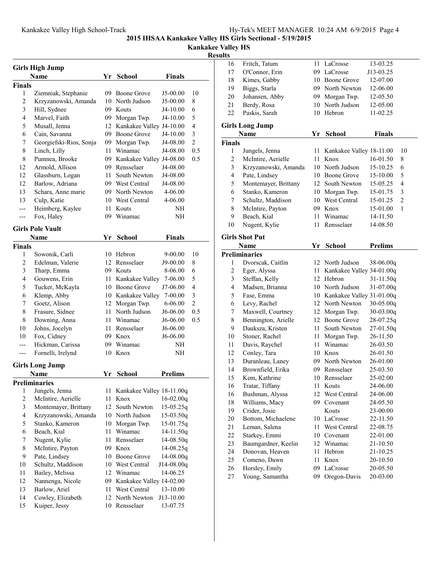#### **Kankakee Valley HS**

# **Result**

| <b>Girls High Jump</b> |                                   |          |                              |                       |                |  |  |
|------------------------|-----------------------------------|----------|------------------------------|-----------------------|----------------|--|--|
|                        | Name                              |          | Yr School                    | <b>Finals</b>         |                |  |  |
| <b>Finals</b>          |                                   |          |                              |                       |                |  |  |
| 1                      | Ziemniak, Stephanie               | 09       | Boone Grove                  | J5-00.00              | 10             |  |  |
| 2                      | Krzyzanowski, Amanda              | 10       | North Judson                 | J5-00.00              | 8              |  |  |
| 3                      | Hill, Sydnee                      |          | 09 Kouts                     | J4-10.00              | 6              |  |  |
| $\overline{4}$         | Marvel, Faith                     |          | 09 Morgan Twp.               | J4-10.00              | 5              |  |  |
| 5                      | Musall, Jenna                     |          | 12 Kankakee Valley J4-10.00  |                       | $\overline{4}$ |  |  |
| 6                      | Cain, Savanna                     |          | 09 Boone Grove               | J4-10.00              | 3              |  |  |
| 7                      | Georgiefski-Rios, Sonja           |          | 09 Morgan Twp.               | J4-08.00              | $\overline{c}$ |  |  |
| 8                      | Linch, Lilly                      |          | 11 Winamac                   | J4-08.00              | 0.5            |  |  |
| 8                      | Pumnea, Brooke                    |          | 09 Kankakee Valley J4-08.00  |                       | 0.5            |  |  |
| 12                     | Armold, Allison                   |          | 09 Rensselaer                | J4-08.00              |                |  |  |
| 12                     | Glassburn, Logan                  | 11       | South Newton                 | J4-08.00              |                |  |  |
| 12                     | Barlow, Adriana                   |          | 09 West Central              | J4-08.00              |                |  |  |
| 13                     | Schara, Anne marie                |          | 09 North Newton              | 4-06.00               |                |  |  |
| 13                     |                                   |          | 10 West Central              | 4-06.00               |                |  |  |
| ---                    | Culp, Katie                       | 11       | Kouts                        | NΗ                    |                |  |  |
|                        | Heimberg, Kaylee                  |          | Winamac                      |                       |                |  |  |
| ---                    | Fox, Haley                        | 09       |                              | NΗ                    |                |  |  |
|                        | <b>Girls Pole Vault</b>           |          |                              |                       |                |  |  |
|                        | Name                              | Yr       | <b>School</b>                | <b>Finals</b>         |                |  |  |
| <b>Finals</b>          |                                   |          |                              |                       |                |  |  |
| 1                      | Sowonik, Carli                    | 10       | Hebron                       | 9-00.00               | 10             |  |  |
| 2                      | Edelman, Valerie                  |          | 12 Rensselaer                | J9-00.00              | 8              |  |  |
| 3                      | Tharp, Emma                       |          | 09 Kouts                     | 8-06.00               | 6              |  |  |
| 4                      | Gouwens, Erin                     |          | 11 Kankakee Valley           | 7-06.00               | 5              |  |  |
| 5                      | Tucker, McKayla                   |          | 10 Boone Grove               | J7-06.00              | 4              |  |  |
| 6                      | Klemp, Abby                       |          | 10 Kankakee Valley           | 7-00.00               | 3              |  |  |
| 7                      | Goetz, Alison                     |          | 12 Morgan Twp.               | 6-06.00               | $\overline{c}$ |  |  |
| 8                      | Frasure, Sidnee                   | 11       | North Judson                 | J6-06.00              | 0.5            |  |  |
| 8                      | Downing, Anna                     |          | 11 Winamac                   | J6-06.00              | 0.5            |  |  |
| 10                     | Johns, Jocelyn                    |          | 11 Rensselaer                | J6-06.00              |                |  |  |
| 10                     | Fox, Cidney                       |          | 09 Knox                      | J6-06.00              |                |  |  |
|                        | Hickman, Carissa                  |          | 09 Winamac                   | NΗ                    |                |  |  |
| ---                    | Fornelli, Irelynd                 | 10       | Knox                         | NΗ                    |                |  |  |
|                        | <b>Girls Long Jump</b>            |          |                              |                       |                |  |  |
|                        | Name                              | Yr       | <b>School</b>                | <b>Prelims</b>        |                |  |  |
|                        | <b>Preliminaries</b>              |          |                              |                       |                |  |  |
| 1                      | Jungels, Jenna                    | 11       | Kankakee Valley 18-11.00q    |                       |                |  |  |
| 2                      | McIntire, Aerielle                | 11       | Knox                         | $16-02.00q$           |                |  |  |
| 3                      | Montemayer, Brittany              | 12       | South Newton                 | $15-05.25q$           |                |  |  |
| 4                      | Krzyzanowski, Amanda              | 10       | North Judson                 | $15-03.50q$           |                |  |  |
| 5                      | Stanko, Kameron                   | 10       | Morgan Twp.                  | $15-01.75q$           |                |  |  |
| 6                      | Beach, Kial                       | 11       | Winamac                      | $14 - 11.50q$         |                |  |  |
| 7                      | Nugent, Kylie                     | 11       | Rensselaer                   | 14-08.50q             |                |  |  |
| 8                      | McIntire, Payton                  | 09       | Knox                         | $14-08.25q$           |                |  |  |
| 9                      | Pate, Lindsey                     | 10       | Boone Grove                  | 14-08.00q             |                |  |  |
| 10                     | Schultz, Maddison                 | 10       | West Central                 | J14-08.00q            |                |  |  |
|                        | Bailey, Melissa                   | 12       | Winamac                      | 14-06.25              |                |  |  |
| 11                     |                                   |          |                              |                       |                |  |  |
| 12                     | Nannenga, Nicole<br>Barlow, Ariel | 09       | Kankakee Valley 14-02.00     |                       |                |  |  |
| 13<br>14               | Cowley, Elizabeth                 | 11<br>12 | West Central<br>North Newton | 13-10.00<br>J13-10.00 |                |  |  |
| 15                     | Kuiper, Jessy                     | 10       | Rensselaer                   | 13-07.75              |                |  |  |
|                        |                                   |          |                              |                       |                |  |  |

| ults           |                        |      |                              |                |                |
|----------------|------------------------|------|------------------------------|----------------|----------------|
| 16             | Fritch, Tatum          | 11   | LaCrosse                     | 13-03.25       |                |
| 17             | O'Connor, Erin         |      | 09 LaCrosse                  | J13-03.25      |                |
| 18             | Kimes, Gabby           |      | 10 Boone Grove               | 12-07.00       |                |
| 19             | Biggs, Starla          |      | 09 North Newton              | 12-06.00       |                |
| 20             | Johansen, Abby         |      | 09 Morgan Twp.               | 12-05.50       |                |
| 21             | Berdy, Rosa            |      | 10 North Judson              | 12-05.00       |                |
| 22             | Paskis, Sarah          |      | 10 Hebron                    | 11-02.25       |                |
|                | <b>Girls Long Jump</b> |      |                              |                |                |
|                | Name                   | Yr   | <b>School</b>                | <b>Finals</b>  |                |
| <b>Finals</b>  |                        |      |                              |                |                |
| 1              | Jungels, Jenna         | 11   | Kankakee Valley 18-11.00     |                | 10             |
| $\overline{c}$ | McIntire, Aerielle     | 11 - | Knox                         | 16-01.50       | 8              |
| 3              | Krzyzanowski, Amanda   |      | 10 North Judson              | 15-10.25       | 6              |
| 4              | Pate, Lindsey          |      | 10 Boone Grove               | 15-10.00       | 5              |
| 5              | Montemayer, Brittany   | 12   | South Newton                 | 15-05.25       | 4              |
| 6              | Stanko, Kameron        | 10   | Morgan Twp.                  | 15-01.75       | 3              |
| 7              | Schultz, Maddison      |      | 10 West Central              | 15-01.25       | $\overline{c}$ |
| 8              | McIntire, Payton       |      | 09 Knox                      | 15-01.00       | 1              |
| 9              | Beach, Kial            | 11   | Winamac                      | 14-11.50       |                |
| 10             | Nugent, Kylie          | 11   | Rensselaer                   | 14-08.50       |                |
|                |                        |      |                              |                |                |
|                | <b>Girls Shot Put</b>  |      |                              |                |                |
|                | Name                   | Yr   | <b>School</b>                | <b>Prelims</b> |                |
|                | <b>Preliminaries</b>   |      |                              |                |                |
| 1              | Dvorscak, Caitlin      |      | 12 North Judson              | 38-06.00q      |                |
| $\overline{c}$ | Eger, Alyssa           | 11 - | Kankakee Valley 34-01.00q    |                |                |
| 3              | Steffan, Kelly         |      | 12 Hebron                    | $31 - 11.50q$  |                |
| 4              | Madsen, Brianna        |      | 10 North Judson              | $31 - 07.00q$  |                |
| 5              | Fase, Emma             |      | 10 Kankakee Valley 31-01.00q |                |                |
| 6              | Levy, Rachel           |      | 12 North Newton              | $30 - 05.00q$  |                |
| 7              | Maxwell, Courtney      |      | 12 Morgan Twp.               | $30-03.00q$    |                |
| 8              | Bennington, Arielle    |      | 12 Boone Grove               | 28-07.25q      |                |
| 9              | Dauksza, Kristen       | 11   | South Newton                 | 27-01.50q      |                |
| 10             | Stoner, Rachel         | 11   | Morgan Twp.                  | 26-11.50       |                |
| 11             | Davis, Raychel         | 11   | Winamac                      | 26-03.50       |                |
| 12             | Conley, Tara           |      | 10 Knox                      | 26-01.50       |                |
| 13             | Duranleau, Laney       |      | 09 North Newton              | 26-01.00       |                |
| 14             | Brownfield, Erika      |      | 09 Rensselaer                | 25-03.50       |                |
| 15             | Kem, Kathrine          | 10   | Rensselaer                   | 25-02.00       |                |
| 16             | Tratar, Tiffany        | 11   | Kouts                        | 24-06.00       |                |
| 16             | Bushman, Alyssa        | 12   | West Central                 | 24-06.00       |                |
| 18             | Williams, Macy         | 09   | Covenant                     | 24-05.50       |                |
| 19             | Crider, Josie          |      | Kouts                        | 23-00.00       |                |
| 20             | Bottom, Michaelene     |      | 10 LaCrosse                  | 22-11.50       |                |
| 21             | Leman, Salena          | 11   | West Central                 | 22-08.75       |                |
| 22             | Starkey, Emmi          |      | 10 Covenant                  | 22-01.00       |                |
| 23             | Baumgardner, Keelin    |      | 12 Winamac                   | 21-10.50       |                |
| 24             | Donovan, Heaven        | 11   | Hebron                       | 21-10.25       |                |
| 25             | Comeno, Dawn           | 11   | Knox                         | 20-10.50       |                |
| 26             | Horsley, Emily         | 09   | LaCrosse                     | 20-05.50       |                |
| 27             | Young, Samantha        | 09   | Oregon-Davis                 | 20-03.00       |                |
|                |                        |      |                              |                |                |